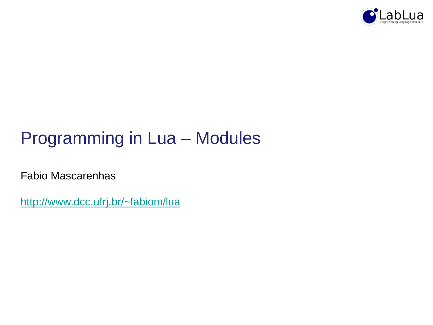

# Programming in Lua – Modules

Fabio Mascarenhas

<http://www.dcc.ufrj.br/~fabiom/lua>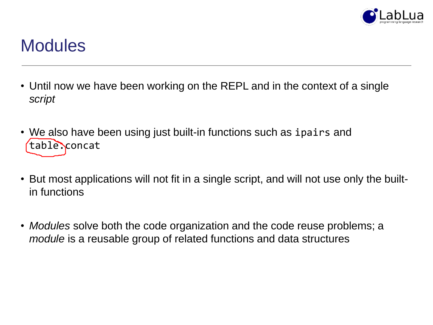

### **Modules**

- Until now we have been working on the REPL and in the context of a single *script*
- We also have been using just built-in functions such as ipairs and table.concat
- But most applications will not fit in a single script, and will not use only the builtin functions
- *Modules* solve both the code organization and the code reuse problems; a *module* is a reusable group of related functions and data structures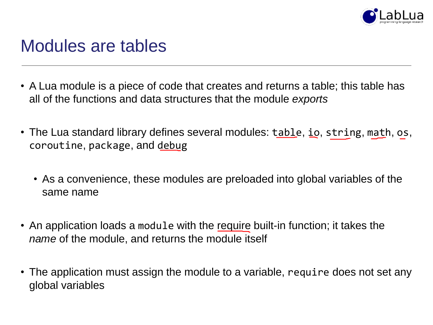

#### Modules are tables

- A Lua module is a piece of code that creates and returns a table; this table has all of the functions and data structures that the module *exports*
- The Lua standard library defines several modules: table, io, string, math, os, coroutine, package, and debug
	- As a convenience, these modules are preloaded into global variables of the same name
- An application loads a module with the require built-in function; it takes the *name* of the module, and returns the module itself
- The application must assign the module to a variable, require does not set any global variables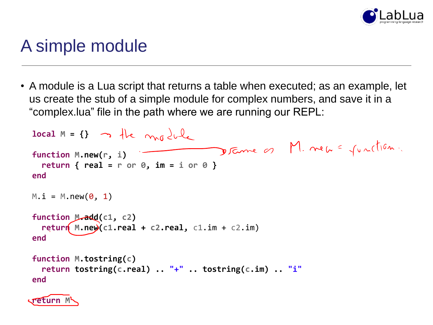

#### A simple module

• A module is a Lua script that returns a table when executed; as an example, let us create the stub of a simple module for complex numbers, and save it in a "complex.lua" file in the path where we are running our REPL:

```
local M = \{\} <br> \uparrow \downarrow \uparrow \uparrow \uparrow \downarrow \downarrowDrame of M. new = junction.
function M.new(r, i)
  return { real = r or 0, im = i or 0 }
end
M.i = M.new(0, 1)function M.add(c1, c2)
  return M.new(c1.real + c2.real, c1.im + c2.im)
end
function M.tostring(c)
  return tostring(c.real) .. "+" .. tostring(c.im) .. "i"
end
```
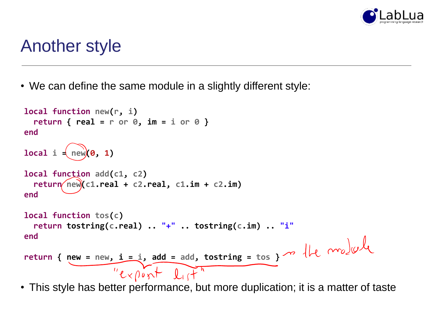

#### Another style

• We can define the same module in a slightly different style:

```
local function new(r, i)
  return { real = r or 0, im = i or 0 }
end
local i = new(0, 1)local function add(c1, c2)
  return(new(C1.read + c2.read, c1.in + c2.in)end
local function tos(c)
  return tostring(c.real) .. "+" .. tostring(c.im) .. "i"
end
return { new = new, i = i, add = add, tostring = tos }"export lit"
```
• This style has better performance, but more duplication; it is a matter of taste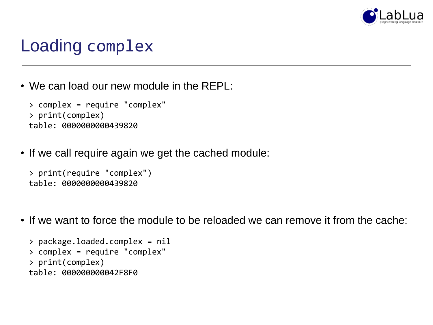

# Loading complex

• We can load our new module in the REPL:

```
> complex = require "complex"
> print(complex)
table: 0000000000439820
```
• If we call require again we get the cached module:

```
> print(require "complex")
table: 0000000000439820
```
• If we want to force the module to be reloaded we can remove it from the cache:

```
> package.loaded.complex = nil
> complex = require "complex"
> print(complex)
table: 000000000042F8F0
```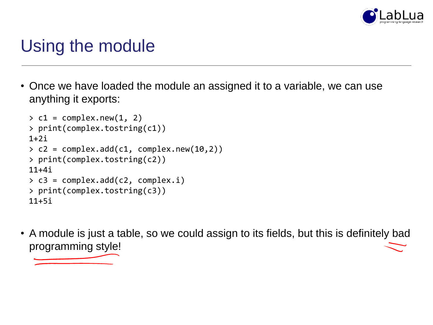

# Using the module

• Once we have loaded the module an assigned it to a variable, we can use anything it exports:

```
> c1 = complex.new(1, 2)> print(complex.tostring(c1))
1+2i> c2 = complex.add(c1, complex.new(10, 2))> print(complex.tostring(c2))
11+4i
> c3 = complex.add(c2, complex.i)
> print(complex.tostring(c3))
11+5i
```
• A module is just a table, so we could assign to its fields, but this is definitely bad programming style!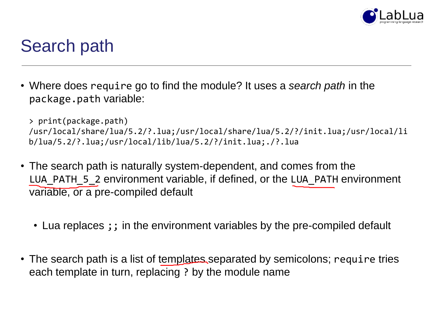

### Search path

• Where does require go to find the module? It uses a *search path* in the package.path variable:

```
> print(package.path)
/usr/local/share/lua/5.2/?.lua;/usr/local/share/lua/5.2/?/init.lua;/usr/local/li
b/lua/5.2/?.lua;/usr/local/lib/lua/5.2/?/init.lua;./?.lua
```
- The search path is naturally system-dependent, and comes from the LUA PATH 5 2 environment variable, if defined, or the LUA PATH environment variable, or a pre-compiled default
	- Lua replaces ;; in the environment variables by the pre-compiled default
- The search path is a list of templates separated by semicolons; require tries each template in turn, replacing ? by the module name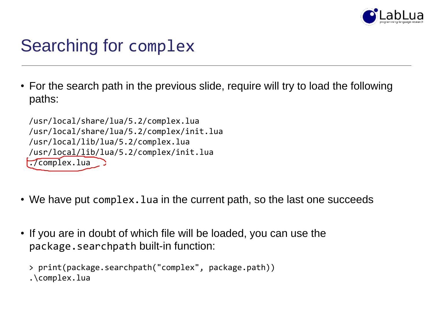

# Searching for complex

• For the search path in the previous slide, require will try to load the following paths:

/usr/local/share/lua/5.2/complex.lua /usr/local/share/lua/5.2/complex/init.lua /usr/local/lib/lua/5.2/complex.lua /usr/local/lib/lua/5.2/complex/init.lua ./complex.lua

- We have put complex. Lua in the current path, so the last one succeeds
- If you are in doubt of which file will be loaded, you can use the package.searchpath built-in function:

```
> print(package.searchpath("complex", package.path))
.\complex.lua
```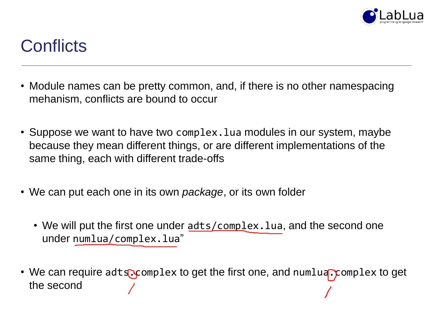

# **Conflicts**

- Module names can be pretty common, and, if there is no other namespacing mehanism, conflicts are bound to occur
- Suppose we want to have two complex. Lua modules in our system, maybe because they mean different things, or are different implementations of the same thing, each with different trade-offs
- We can put each one in its own *package*, or its own folder
	- We will put the first one under adts/complex. lua, and the second one under numlua/complex.lua"
- We can require adts.complex to get the first one, and numlua.complex to get the second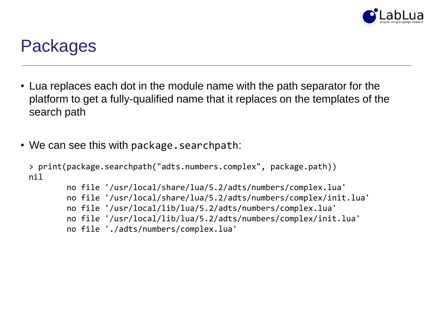

#### Packages

- Lua replaces each dot in the module name with the path separator for the platform to get a fully-qualified name that it replaces on the templates of the search path
- We can see this with package. searchpath:

```
> print(package.searchpath("adts.numbers.complex", package.path))
nil
```

```
no file '/usr/local/share/lua/5.2/adts/numbers/complex.lua'
no file '/usr/local/share/lua/5.2/adts/numbers/complex/init.lua'
no file '/usr/local/lib/lua/5.2/adts/numbers/complex.lua'
no file '/usr/local/lib/lua/5.2/adts/numbers/complex/init.lua'
no file './adts/numbers/complex.lua'
```